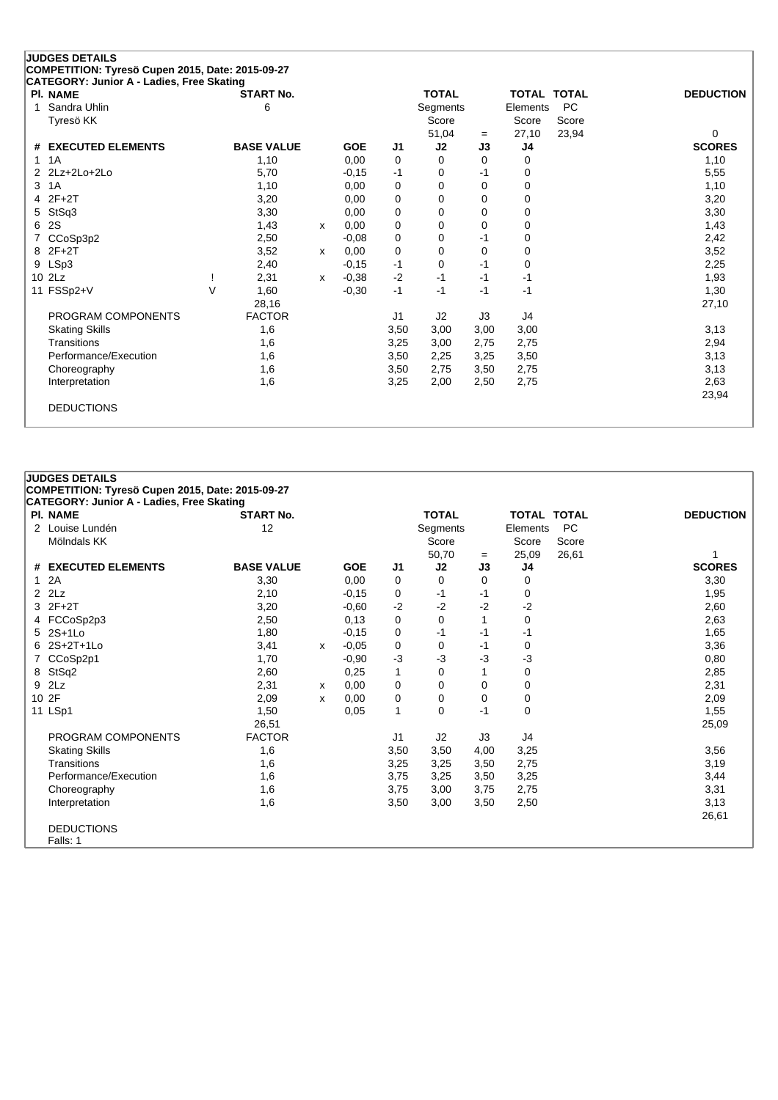| CATEGORY: Junior A - Ladies, Free Skating<br><b>PI. NAME</b> |        | <b>START No.</b>  |   |            |                | <b>TOTAL</b> |          |                | TOTAL TOTAL | <b>DEDUCTION</b> |
|--------------------------------------------------------------|--------|-------------------|---|------------|----------------|--------------|----------|----------------|-------------|------------------|
| Sandra Uhlin<br>1                                            |        | 6                 |   |            |                | Segments     |          | Elements       | <b>PC</b>   |                  |
| Tyresö KK                                                    |        |                   |   |            |                | Score        |          | Score          | Score       |                  |
|                                                              |        |                   |   |            |                | 51,04        | $=$      | 27,10          | 23,94       | 0                |
| # EXECUTED ELEMENTS                                          |        | <b>BASE VALUE</b> |   | <b>GOE</b> | J <sub>1</sub> | J2           | J3       | J <sub>4</sub> |             | <b>SCORES</b>    |
| 1A<br>1                                                      |        | 1,10              |   | 0.00       | 0              | 0            | $\Omega$ | 0              |             | 1,10             |
| $2Lz+2Lo+2Lo$<br>$\mathcal{P}$                               |        | 5,70              |   | $-0.15$    | $-1$           | 0            | -1       | 0              |             | 5,55             |
| 3<br>1A                                                      |        | 1,10              |   | 0,00       | 0              | 0            | $\Omega$ | $\Omega$       |             | 1,10             |
| $2F+2T$<br>4                                                 |        | 3,20              |   | 0,00       | 0              | 0            | 0        | 0              |             | 3,20             |
| StSq3<br>5                                                   |        | 3,30              |   | 0.00       | 0              | 0            | 0        | 0              |             | 3,30             |
| 2S<br>6                                                      |        | 1,43              | x | 0,00       | 0              | 0            | 0        | $\Omega$       |             | 1,43             |
| CCoSp3p2                                                     |        | 2,50              |   | $-0.08$    | 0              | 0            | -1       | $\Omega$       |             | 2,42             |
| 8 2F+2T                                                      |        | 3,52              | x | 0,00       | 0              | 0            | $\Omega$ | $\Omega$       |             | 3,52             |
| LSp3<br>9                                                    |        | 2,40              |   | $-0,15$    | $-1$           | 0            | $-1$     | 0              |             | 2,25             |
| 10 2Lz                                                       |        | 2,31              | x | $-0,38$    | $-2$           | $-1$         | $-1$     | -1             |             | 1,93             |
| 11 FSSp2+V                                                   | $\vee$ | 1,60              |   | $-0,30$    | $-1$           | $-1$         | $-1$     | -1             |             | 1,30             |
|                                                              |        | 28,16             |   |            |                |              |          |                |             | 27,10            |
| PROGRAM COMPONENTS                                           |        | <b>FACTOR</b>     |   |            | J <sub>1</sub> | J2           | J3       | J4             |             |                  |
| <b>Skating Skills</b>                                        |        | 1,6               |   |            | 3,50           | 3,00         | 3,00     | 3,00           |             | 3,13             |
| Transitions                                                  |        | 1,6               |   |            | 3,25           | 3,00         | 2,75     | 2,75           |             | 2,94             |
| Performance/Execution                                        |        | 1,6               |   |            | 3,50           | 2,25         | 3,25     | 3,50           |             | 3,13             |
| Choreography                                                 |        | 1,6               |   |            | 3,50           | 2,75         | 3,50     | 2,75           |             | 3,13             |
| Interpretation                                               |        | 1,6               |   |            | 3,25           | 2,00         | 2,50     | 2,75           |             | 2,63             |
|                                                              |        |                   |   |            |                |              |          |                |             | 23,94            |

# **COMPETITION: Tyresö Cupen 2015, Date: 2015-09-27 CATEGORY: Junior A - Ladies, Free Skating Pl. NAME START No. TOTAL TOTAL TOTAL DEDUCTION** 2 Louise Lundén 12 12 Segments Elements PC<br>Mölndals KK Score Score Score Score Score Mölndals KK Score Score Score Score Score Score Score Score Score Score Score Score Score Score Score Score Score Score Score Score Score Score Score Score Score Score Score Score Score Score Score Score Score Score Score 50,70 <sup>=</sup> 25,09 26,61 1 **# EXECUTED ELEMENTS BASE VALUE GOE J1 J2 J3 J4 SCORES** 1 2A 3,30 0,00 0 0 0 0 3,30 2 2Lz 2,10 -0,15 0 -1 -1 0 1,95  $3\,\,2$ F+2T  $3,20$   $-0,60$   $-2$   $-2$   $-2$   $-2$ 4 FCCoSp2p3 2,50 0,13 0 0 1 0 2,63 5 2S+1Lo 1,80 -0,15 0 -1 -1 -1 1,65 6 2S+2T+1Lo 3,41 <sup>x</sup> -0,05 0 0 -1 0 3,36 7 CCoSp2p1 1,70 -0,90 -3 -3 -3 -3 0,80 8 StSq2 2,60 2,60 0,25 1 0 1 0 2,85 9 2Lz 2,31 <sup>x</sup> 0,00 0 0 0 0 2,31 10 2F 2,09 <sup>x</sup> 0,00 0 0 0 0 2,09 11 LSp1 1,50 0,05 1 0 -1 0 1,55 26,51 25,09 PROGRAM COMPONENTS FACTOR J1 J2 J3 J4 Skating Skills 1,6 3,50 3,50 4,00 3,25 3,56 Transitions 1,6 3,25 3,25 3,50 2,75 3,19 Performance/Execution 1,6 3,75 3,25 3,50 3,25 3,44 3,44 Choreography 1,6 3,75 3,00 3,75 2,75 3,00 3,75 3,31 Interpretation 1,6 3,50 3,00 3,50 2,50 3,13 26,61 DEDUCTIONS

Falls: 1

**JUDGES DETAILS**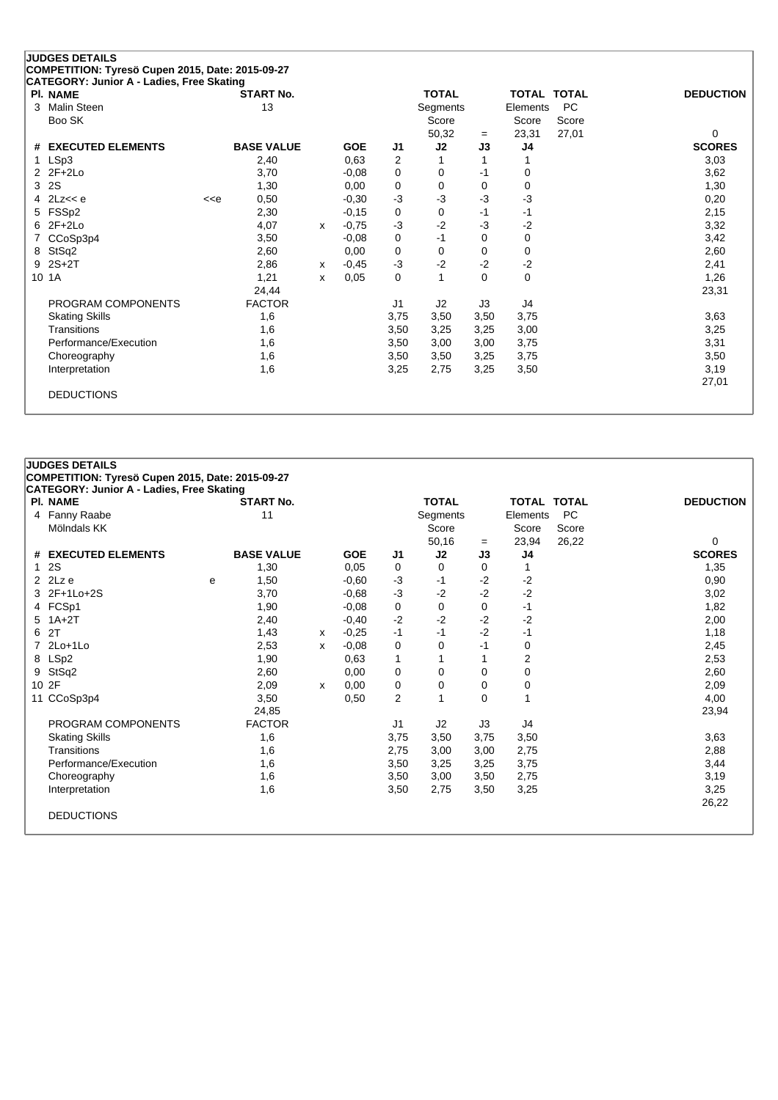| PI. NAME                      |                                                                                                                                                                                          | <b>START No.</b>  |              |            |                | <b>TOTAL</b> |             | <b>TOTAL TOTAL</b> |           | <b>DEDUCTION</b> |
|-------------------------------|------------------------------------------------------------------------------------------------------------------------------------------------------------------------------------------|-------------------|--------------|------------|----------------|--------------|-------------|--------------------|-----------|------------------|
| <b>Malin Steen</b><br>3       |                                                                                                                                                                                          | 13                |              |            |                | Segments     |             | Elements           | <b>PC</b> |                  |
| Boo SK                        |                                                                                                                                                                                          |                   |              |            |                | Score        |             | Score              | Score     |                  |
|                               |                                                                                                                                                                                          |                   |              |            |                | 50,32        | $=$         | 23,31              | 27,01     | 0                |
| <b>EXECUTED ELEMENTS</b><br># |                                                                                                                                                                                          | <b>BASE VALUE</b> |              | <b>GOE</b> | J1             | J2           | J3          | J4                 |           | <b>SCORES</b>    |
| LSp3<br>1                     |                                                                                                                                                                                          | 2,40              |              | 0.63       | 2              |              | 1           | 1                  |           | 3,03             |
| $2$ $2F+2Lo$                  |                                                                                                                                                                                          | 3,70              |              | $-0,08$    | 0              | 0            | -1          | 0                  |           | 3,62             |
| 2S<br>3                       |                                                                                                                                                                                          | 1,30              |              | 0,00       | 0              | 0            | $\mathbf 0$ | $\mathbf 0$        |           | 1,30             |
| 2Lz< <e<br>4</e<br>           | < <e< td=""><td>0,50</td><td></td><td><math>-0,30</math></td><td><math>-3</math></td><td><math>-3</math></td><td><math>-3</math></td><td><math>-3</math></td><td></td><td>0,20</td></e<> | 0,50              |              | $-0,30$    | $-3$           | $-3$         | $-3$        | $-3$               |           | 0,20             |
| FSSp2<br>5                    |                                                                                                                                                                                          | 2,30              |              | $-0,15$    | 0              | 0            | -1          | $-1$               |           | 2,15             |
| $2F+2Lo$<br>6                 |                                                                                                                                                                                          | 4,07              | $\mathsf{x}$ | $-0,75$    | $-3$           | $-2$         | $-3$        | $-2$               |           | 3,32             |
| CCoSp3p4                      |                                                                                                                                                                                          | 3,50              |              | $-0,08$    | $\Omega$       | $-1$         | $\Omega$    | $\mathbf 0$        |           | 3,42             |
| StSq2<br>8                    |                                                                                                                                                                                          | 2,60              |              | 0,00       | 0              | $\Omega$     | $\Omega$    | $\mathbf 0$        |           | 2,60             |
| $2S+2T$<br>9                  |                                                                                                                                                                                          | 2,86              | x            | $-0,45$    | $-3$           | $-2$         | $-2$        | $-2$               |           | 2,41             |
| 1A<br>10                      |                                                                                                                                                                                          | 1,21              | x            | 0,05       | $\Omega$       | 1            | $\Omega$    | $\mathbf 0$        |           | 1,26             |
|                               |                                                                                                                                                                                          | 24,44             |              |            |                |              |             |                    |           | 23,31            |
| PROGRAM COMPONENTS            |                                                                                                                                                                                          | <b>FACTOR</b>     |              |            | J <sub>1</sub> | J2           | J3          | J4                 |           |                  |
| <b>Skating Skills</b>         |                                                                                                                                                                                          | 1,6               |              |            | 3,75           | 3,50         | 3,50        | 3,75               |           | 3,63             |
| Transitions                   |                                                                                                                                                                                          | 1,6               |              |            | 3,50           | 3,25         | 3,25        | 3,00               |           | 3,25             |
| Performance/Execution         |                                                                                                                                                                                          | 1,6               |              |            | 3,50           | 3,00         | 3,00        | 3,75               |           | 3,31             |
| Choreography                  |                                                                                                                                                                                          | 1,6               |              |            | 3,50           | 3,50         | 3,25        | 3,75               |           | 3,50             |
| Interpretation                |                                                                                                                                                                                          | 1,6               |              |            | 3,25           | 2,75         | 3,25        | 3,50               |           | 3,19             |

| PI. NAME              |   | <b>START No.</b>  |   |            |      | <b>TOTAL</b> |          | TOTAL TOTAL |       | <b>DEDUCTION</b> |
|-----------------------|---|-------------------|---|------------|------|--------------|----------|-------------|-------|------------------|
| 4 Fanny Raabe         |   | 11                |   |            |      | Segments     |          | Elements    | PC    |                  |
| Mölndals KK           |   |                   |   |            |      | Score        |          | Score       | Score |                  |
|                       |   |                   |   |            |      | 50,16        | $=$      | 23,94       | 26,22 | 0                |
| # EXECUTED ELEMENTS   |   | <b>BASE VALUE</b> |   | <b>GOE</b> | J1   | J2           | J3       | J4          |       | <b>SCORES</b>    |
| 12S                   |   | 1,30              |   | 0,05       | 0    | 0            | 0        |             |       | 1,35             |
| $2$ $2Lz$ e           | e | 1,50              |   | $-0,60$    | $-3$ | $-1$         | $-2$     | $-2$        |       | 0,90             |
| 3 2F+1Lo+2S           |   | 3,70              |   | $-0.68$    | $-3$ | $-2$         | $-2$     | $-2$        |       | 3,02             |
| 4 FCSp1               |   | 1,90              |   | $-0,08$    | 0    | 0            | 0        | -1          |       | 1,82             |
| $5$ 1A+2T             |   | 2,40              |   | $-0,40$    | $-2$ | $-2$         | $-2$     | $-2$        |       | 2,00             |
| 6 2T                  |   | 1,43              | x | $-0,25$    | $-1$ | $-1$         | $-2$     | -1          |       | 1,18             |
| 7 2Lo+1Lo             |   | 2,53              | x | $-0,08$    | 0    | 0            | $-1$     | 0           |       | 2,45             |
| 8 LSp2                |   | 1,90              |   | 0,63       | 1    | 1            |          | 2           |       | 2,53             |
| 9 StSq2               |   | 2,60              |   | 0,00       | 0    | 0            | 0        | 0           |       | 2,60             |
| 10 2F                 |   | 2,09              | x | 0,00       | 0    | 0            | 0        | 0           |       | 2,09             |
| 11 CCoSp3p4           |   | 3,50              |   | 0,50       | 2    | 1            | $\Omega$ |             |       | 4,00             |
|                       |   | 24,85             |   |            |      |              |          |             |       | 23,94            |
| PROGRAM COMPONENTS    |   | <b>FACTOR</b>     |   |            | J1   | J2           | J3       | J4          |       |                  |
| <b>Skating Skills</b> |   | 1,6               |   |            | 3,75 | 3,50         | 3,75     | 3,50        |       | 3,63             |
| Transitions           |   | 1,6               |   |            | 2,75 | 3,00         | 3,00     | 2,75        |       | 2,88             |
| Performance/Execution |   | 1,6               |   |            | 3,50 | 3,25         | 3,25     | 3,75        |       | 3,44             |
| Choreography          |   | 1,6               |   |            | 3,50 | 3,00         | 3,50     | 2,75        |       | 3,19             |
| Interpretation        |   | 1,6               |   |            | 3,50 | 2,75         | 3,50     | 3,25        |       | 3,25             |
|                       |   |                   |   |            |      |              |          |             |       | 26,22            |
| <b>DEDUCTIONS</b>     |   |                   |   |            |      |              |          |             |       |                  |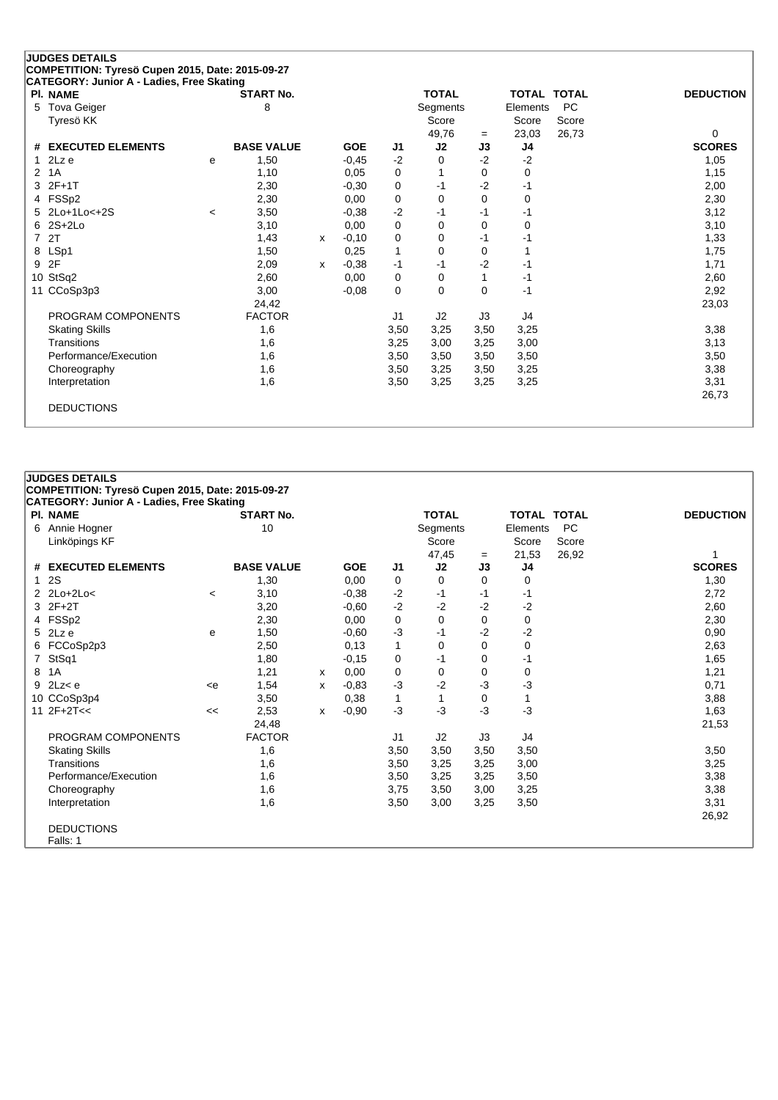|    | CATEGORY: Junior A - Ladies, Free Skating |       |                   |   |            |                |                |          |                    |           |                  |
|----|-------------------------------------------|-------|-------------------|---|------------|----------------|----------------|----------|--------------------|-----------|------------------|
|    | <b>PI. NAME</b>                           |       | <b>START No.</b>  |   |            |                | <b>TOTAL</b>   |          | <b>TOTAL TOTAL</b> |           | <b>DEDUCTION</b> |
| 5. | <b>Tova Geiger</b>                        |       | 8                 |   |            |                | Segments       |          | Elements           | <b>PC</b> |                  |
|    | Tyresö KK                                 |       |                   |   |            |                | Score          |          | Score              | Score     |                  |
|    |                                           |       |                   |   |            |                | 49,76          | $=$      | 23,03              | 26,73     | 0                |
| #  | <b>EXECUTED ELEMENTS</b>                  |       | <b>BASE VALUE</b> |   | <b>GOE</b> | J <sub>1</sub> | J2             | J3       | J4                 |           | <b>SCORES</b>    |
| 1  | 2Lz e                                     | e     | 1,50              |   | $-0,45$    | $-2$           | 0              | $-2$     | $-2$               |           | 1,05             |
| 2  | 1A                                        |       | 1,10              |   | 0.05       | 0              |                | 0        | 0                  |           | 1,15             |
| 3  | $2F+1T$                                   |       | 2,30              |   | $-0,30$    | 0              | -1             | $-2$     | -1                 |           | 2,00             |
| 4  | FSSp2                                     |       | 2,30              |   | 0,00       | 0              | $\Omega$       | 0        | 0                  |           | 2,30             |
| 5. | 2Lo+1Lo<+2S                               | $\,<$ | 3,50              |   | $-0.38$    | $-2$           | -1             | -1       | -1                 |           | 3,12             |
| 6  | $2S+2Lo$                                  |       | 3,10              |   | 0,00       | 0              | $\Omega$       | 0        | $\mathbf 0$        |           | 3,10             |
| 7  | 2T                                        |       | 1,43              | x | $-0,10$    | 0              | 0              | -1       | -1                 |           | 1,33             |
| 8  | LSp1                                      |       | 1,50              |   | 0,25       | 1              | $\Omega$       | 0        |                    |           | 1,75             |
| 9  | 2F                                        |       | 2,09              | x | $-0,38$    | $-1$           | $-1$           | $-2$     | $-1$               |           | 1,71             |
|    | 10 StSq2                                  |       | 2,60              |   | 0,00       | 0              | 0              | 1        | $-1$               |           | 2,60             |
|    | 11 CCoSp3p3                               |       | 3,00              |   | $-0,08$    | $\mathbf 0$    | $\Omega$       | $\Omega$ | $-1$               |           | 2,92             |
|    |                                           |       | 24,42             |   |            |                |                |          |                    |           | 23,03            |
|    | PROGRAM COMPONENTS                        |       | <b>FACTOR</b>     |   |            | J1             | J <sub>2</sub> | J3       | J4                 |           |                  |
|    | <b>Skating Skills</b>                     |       | 1,6               |   |            | 3,50           | 3,25           | 3,50     | 3,25               |           | 3,38             |
|    | Transitions                               |       | 1,6               |   |            | 3,25           | 3,00           | 3,25     | 3,00               |           | 3,13             |
|    | Performance/Execution                     |       | 1,6               |   |            | 3,50           | 3,50           | 3,50     | 3,50               |           | 3,50             |
|    | Choreography                              |       | 1,6               |   |            | 3,50           | 3,25           | 3,50     | 3,25               |           | 3,38             |
|    | Interpretation                            |       | 1,6               |   |            | 3,50           | 3,25           | 3,25     | 3,25               |           | 3,31             |
|    |                                           |       |                   |   |            |                |                |          |                    |           | 26,73            |
|    | <b>DEDUCTIONS</b>                         |       |                   |   |            |                |                |          |                    |           |                  |

|   | CATEGORY: Junior A - Ladies, Free Skating |         |                   |   |            |      |                |      |                    |           |                  |
|---|-------------------------------------------|---------|-------------------|---|------------|------|----------------|------|--------------------|-----------|------------------|
|   | PI. NAME                                  |         | <b>START No.</b>  |   |            |      | <b>TOTAL</b>   |      | <b>TOTAL TOTAL</b> |           | <b>DEDUCTION</b> |
| 6 | Annie Hogner                              |         | 10                |   |            |      | Segments       |      | Elements           | <b>PC</b> |                  |
|   | Linköpings KF                             |         |                   |   |            |      | Score          |      | Score              | Score     |                  |
|   |                                           |         |                   |   |            |      | 47,45          | $=$  | 21,53              | 26,92     |                  |
|   | # EXECUTED ELEMENTS                       |         | <b>BASE VALUE</b> |   | <b>GOE</b> | J1   | J2             | J3   | J4                 |           | <b>SCORES</b>    |
|   | 1 2S                                      |         | 1,30              |   | 0,00       | 0    | 0              | 0    | 0                  |           | 1,30             |
|   | 2 2Lo+2Lo<                                | $\,<\,$ | 3,10              |   | $-0,38$    | $-2$ | -1             | -1   | -1                 |           | 2,72             |
|   | 3 2F+2T                                   |         | 3,20              |   | $-0.60$    | $-2$ | $-2$           | $-2$ | $-2$               |           | 2,60             |
|   | 4 FSSp2                                   |         | 2,30              |   | 0,00       | 0    | 0              | 0    | 0                  |           | 2,30             |
|   | $5$ 2Lz e                                 | е       | 1,50              |   | $-0,60$    | $-3$ | -1             | -2   | $-2$               |           | 0,90             |
|   | 6 FCCoSp2p3                               |         | 2,50              |   | 0,13       | 1    | 0              | 0    | 0                  |           | 2,63             |
|   | 7 StSq1                                   |         | 1,80              |   | $-0,15$    | 0    | -1             | 0    | -1                 |           | 1,65             |
|   | 8 1A                                      |         | 1,21              | x | 0,00       | 0    | 0              | 0    | 0                  |           | 1,21             |
|   | $9$ 2Lz< $e$                              | < e     | 1,54              | x | $-0.83$    | $-3$ | $-2$           | -3   | -3                 |           | 0,71             |
|   | 10 CCoSp3p4                               |         | 3,50              |   | 0,38       | 1    | 1              | 0    | 1                  |           | 3,88             |
|   | 11 $2F+2T<<$                              | <<      | 2,53              | x | $-0,90$    | $-3$ | -3             | -3   | $-3$               |           | 1,63             |
|   |                                           |         | 24,48             |   |            |      |                |      |                    |           | 21,53            |
|   | PROGRAM COMPONENTS                        |         | <b>FACTOR</b>     |   |            | J1   | J <sub>2</sub> | J3   | J4                 |           |                  |
|   | <b>Skating Skills</b>                     |         | 1,6               |   |            | 3,50 | 3,50           | 3,50 | 3,50               |           | 3,50             |
|   | Transitions                               |         | 1,6               |   |            | 3,50 | 3,25           | 3,25 | 3,00               |           | 3,25             |
|   | Performance/Execution                     |         | 1,6               |   |            | 3,50 | 3,25           | 3,25 | 3,50               |           | 3,38             |
|   | Choreography                              |         | 1,6               |   |            | 3,75 | 3,50           | 3,00 | 3,25               |           | 3,38             |
|   | Interpretation                            |         | 1,6               |   |            | 3,50 | 3,00           | 3,25 | 3,50               |           | 3,31             |
|   |                                           |         |                   |   |            |      |                |      |                    |           | 26,92            |
|   | <b>DEDUCTIONS</b>                         |         |                   |   |            |      |                |      |                    |           |                  |
|   | Falls: 1                                  |         |                   |   |            |      |                |      |                    |           |                  |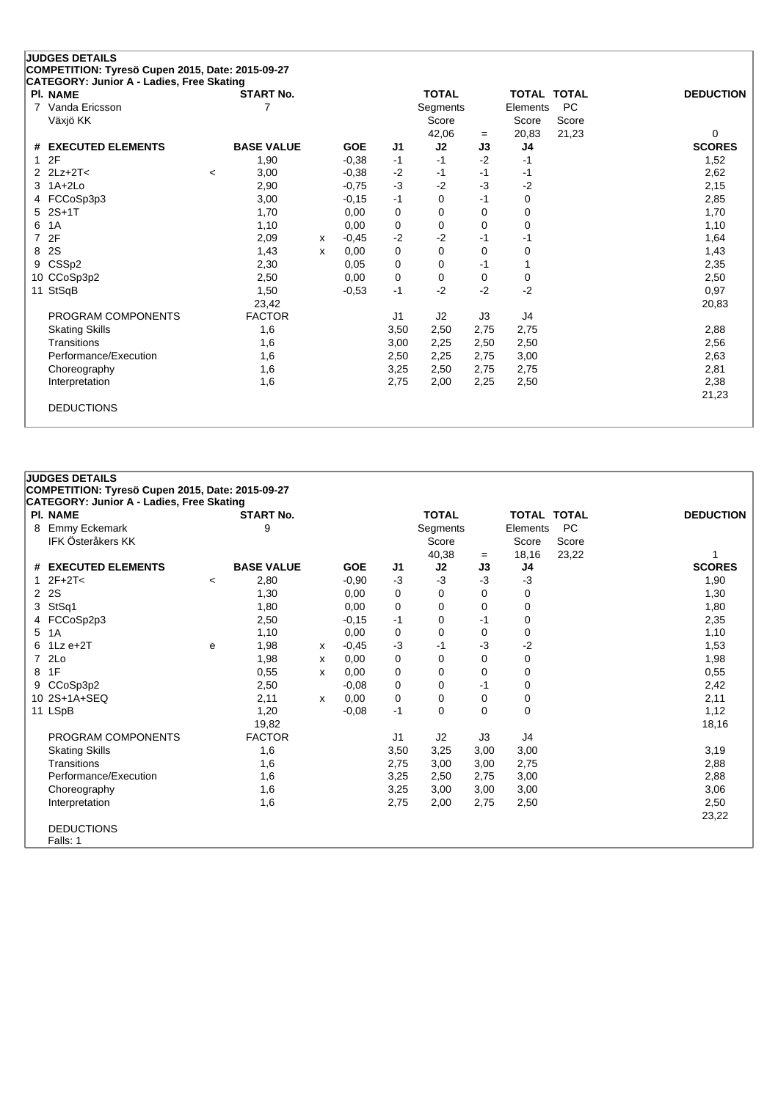|    | <b>JUDGES DETAILS</b>                                                                         |         |                   |   |            |                |              |      |                    |           |                  |
|----|-----------------------------------------------------------------------------------------------|---------|-------------------|---|------------|----------------|--------------|------|--------------------|-----------|------------------|
|    | COMPETITION: Tyresö Cupen 2015, Date: 2015-09-27<br>CATEGORY: Junior A - Ladies, Free Skating |         |                   |   |            |                |              |      |                    |           |                  |
|    | <b>PI. NAME</b>                                                                               |         | <b>START No.</b>  |   |            |                | <b>TOTAL</b> |      | <b>TOTAL TOTAL</b> |           | <b>DEDUCTION</b> |
| 7  | Vanda Ericsson                                                                                |         | 7                 |   |            |                | Segments     |      | Elements           | <b>PC</b> |                  |
|    | Växjö KK                                                                                      |         |                   |   |            |                | Score        |      | Score              | Score     |                  |
|    |                                                                                               |         |                   |   |            |                | 42,06        | $=$  | 20,83              | 21,23     | 0                |
| #  | <b>EXECUTED ELEMENTS</b>                                                                      |         | <b>BASE VALUE</b> |   | <b>GOE</b> | J1             | J2           | J3   | J4                 |           | <b>SCORES</b>    |
| 1  | 2F                                                                                            |         | 1,90              |   | $-0,38$    | $-1$           | $-1$         | $-2$ | -1                 |           | 1,52             |
| 2  | $2Lz+2T<$                                                                                     | $\prec$ | 3,00              |   | $-0.38$    | $-2$           | -1           | -1   | -1                 |           | 2,62             |
| 3  | $1A+2Lo$                                                                                      |         | 2,90              |   | $-0,75$    | $-3$           | $-2$         | $-3$ | $-2$               |           | 2,15             |
| 4  | FCCoSp3p3                                                                                     |         | 3,00              |   | $-0,15$    | $-1$           | 0            | $-1$ | 0                  |           | 2,85             |
| 5. | $2S+1T$                                                                                       |         | 1,70              |   | 0,00       | 0              | 0            | 0    | 0                  |           | 1,70             |
| 6  | 1A                                                                                            |         | 1,10              |   | 0,00       | 0              | $\Omega$     | 0    | 0                  |           | 1,10             |
| 7  | 2F                                                                                            |         | 2,09              | x | $-0,45$    | $-2$           | -2           | -1   | -1                 |           | 1,64             |
| 8  | 2S                                                                                            |         | 1,43              | x | 0,00       | 0              | 0            | 0    | 0                  |           | 1,43             |
| 9  | CSSp2                                                                                         |         | 2,30              |   | 0,05       | 0              | 0            | $-1$ | 1                  |           | 2,35             |
|    | 10 CCoSp3p2                                                                                   |         | 2,50              |   | 0.00       | 0              | 0            | 0    | 0                  |           | 2,50             |
|    | 11 StSqB                                                                                      |         | 1,50              |   | $-0,53$    | $-1$           | $-2$         | $-2$ | $-2$               |           | 0,97             |
|    |                                                                                               |         | 23,42             |   |            |                |              |      |                    |           | 20,83            |
|    | PROGRAM COMPONENTS                                                                            |         | <b>FACTOR</b>     |   |            | J <sub>1</sub> | J2           | J3   | J4                 |           |                  |
|    | <b>Skating Skills</b>                                                                         |         | 1,6               |   |            | 3,50           | 2,50         | 2,75 | 2,75               |           | 2,88             |
|    | Transitions                                                                                   |         | 1,6               |   |            | 3,00           | 2,25         | 2,50 | 2,50               |           | 2,56             |
|    | Performance/Execution                                                                         |         | 1,6               |   |            | 2,50           | 2,25         | 2,75 | 3,00               |           | 2,63             |
|    | Choreography                                                                                  |         | 1,6               |   |            | 3,25           | 2,50         | 2,75 | 2,75               |           | 2,81             |
|    | Interpretation                                                                                |         | 1,6               |   |            | 2,75           | 2,00         | 2,25 | 2,50               |           | 2,38             |
|    |                                                                                               |         |                   |   |            |                |              |      |                    |           | 21,23            |
|    | <b>DEDUCTIONS</b>                                                                             |         |                   |   |            |                |              |      |                    |           |                  |
|    |                                                                                               |         |                   |   |            |                |              |      |                    |           |                  |

# **JUDGES DETAILS COMPETITION: Tyresö Cupen 2015, Date: 2015-09-27 CATEGORY: Junior A - Ladies, Free Skating Pl. NAME START No. TOTAL TOTAL TOTAL DEDUCTION** 8 Emmy Eckemark **8 Emmy Eckemark** 9 3 Segments Elements PC **IFK Österåkers KK** Score Score Score Score Score Score Score Score Score Score Score Score Score Score Score Score Score Score Score Score Score Score Score Score Score Score Score Score Score Score Score Score Score Scor 40,38 = 18,16 23,22 1<br> **J2 J3 J4 SCORES # EXECUTED ELEMENTS BASE VALUE GOE J1 J2 J3 J4 SCORES** 1 2F+2T< <sup>&</sup>lt; 2,80 -0,90 -3 -3 -3 -3 1,90 2 2S 1,30 0,00 0 0 0 0 1,30 3 StSq1 1,80 0,00 0 0 0 0 1,80 4 FCCoSp2p3 2,50 -0,15 -1 0 -1 0 2,35 5 1A 1,10 0,00 0 0 0 0 1,10 6 1Lz e+2T <sup>e</sup> 1,98 <sup>x</sup> -0,45 -3 -1 -3 -2 1,53 7 2Lo 1,98 <sup>x</sup> 0,00 0 0 0 0 1,98 8 1F 0,55 <sup>x</sup> 0,00 0 0 0 0 0,55 9 CCoSp3p2 2,50 -0,08 0 0 -1 0 2,42 10 2S+1A+SEQ 2,11 <sup>x</sup> 0,00 0 0 0 0 2,11 11 LSpB 1,20 -0,08 -1 0 0 1,12 19,82 18,16 PROGRAM COMPONENTS FACTOR J1 J2 J3 J4 Skating Skills 1,6 3,50 3,25 3,00 3,00 3,19 Transitions 1,6 2,75 3,00 3,00 2,75 2,88 Performance/Execution 1,6 3,25 2,50 2,75 3,00 2,88 Choreography 1,6 1,6 3,25 3,00 3,00 3,00 3,00 3,00 3,06 Interpretation 1,6 2,75 2,00 2,75 2,50 2,50 23,22 DEDUCTIONS Falls: 1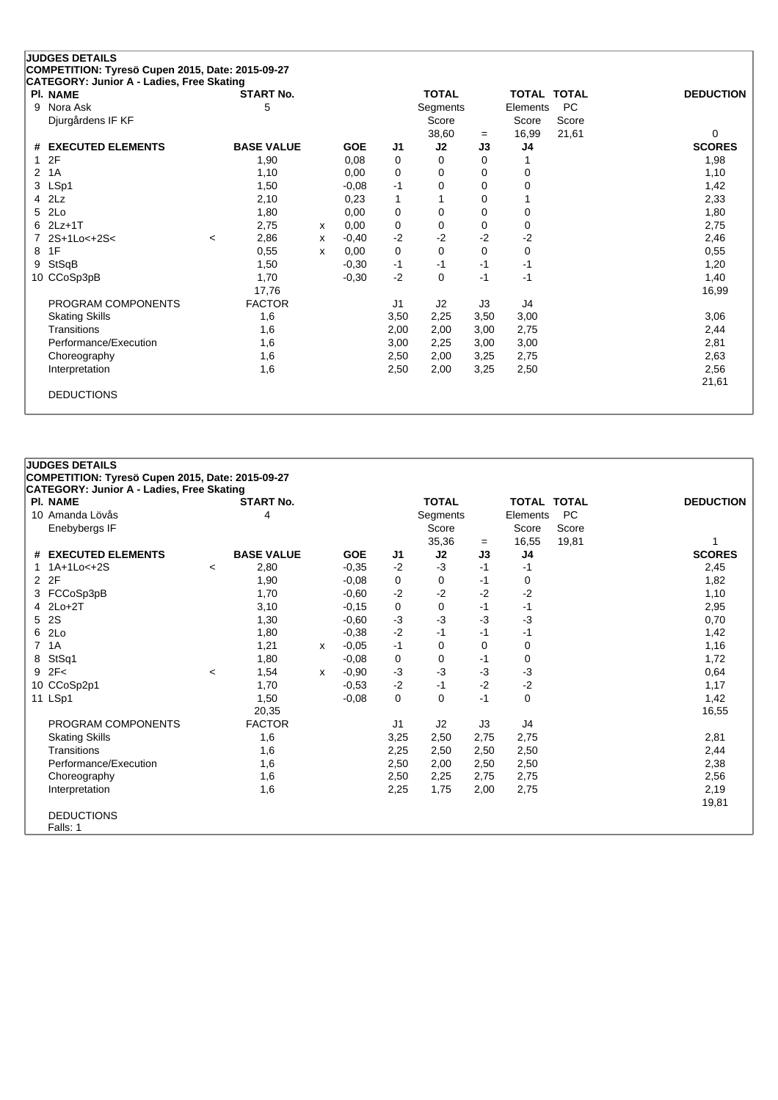|                       |                                                                                                                                                                                                                                                                                                                    |               |                                                                                                                                                     |         |                    |                     |                                                  |      |                                  | <b>DEDUCTION</b>                                       |
|-----------------------|--------------------------------------------------------------------------------------------------------------------------------------------------------------------------------------------------------------------------------------------------------------------------------------------------------------------|---------------|-----------------------------------------------------------------------------------------------------------------------------------------------------|---------|--------------------|---------------------|--------------------------------------------------|------|----------------------------------|--------------------------------------------------------|
|                       |                                                                                                                                                                                                                                                                                                                    |               |                                                                                                                                                     |         |                    |                     |                                                  |      |                                  |                                                        |
|                       |                                                                                                                                                                                                                                                                                                                    |               |                                                                                                                                                     |         |                    |                     |                                                  |      |                                  |                                                        |
|                       |                                                                                                                                                                                                                                                                                                                    |               |                                                                                                                                                     |         |                    |                     | $=$                                              |      |                                  | 0                                                      |
|                       |                                                                                                                                                                                                                                                                                                                    |               |                                                                                                                                                     |         |                    |                     |                                                  |      |                                  | <b>SCORES</b>                                          |
|                       |                                                                                                                                                                                                                                                                                                                    |               |                                                                                                                                                     |         |                    | 0                   | $\Omega$                                         |      |                                  | 1,98                                                   |
|                       |                                                                                                                                                                                                                                                                                                                    | 1,10          |                                                                                                                                                     | 0.00    | 0                  | 0                   | 0                                                | 0    |                                  | 1,10                                                   |
|                       |                                                                                                                                                                                                                                                                                                                    | 1,50          |                                                                                                                                                     | $-0,08$ | $-1$               | 0                   | $\Omega$                                         | 0    |                                  | 1,42                                                   |
|                       |                                                                                                                                                                                                                                                                                                                    | 2,10          |                                                                                                                                                     | 0,23    | $\mathbf{1}$       |                     | 0                                                |      |                                  | 2,33                                                   |
|                       |                                                                                                                                                                                                                                                                                                                    | 1,80          |                                                                                                                                                     | 0,00    | 0                  | 0                   | 0                                                | 0    |                                  | 1,80                                                   |
|                       |                                                                                                                                                                                                                                                                                                                    | 2,75          | x                                                                                                                                                   | 0,00    | 0                  | 0                   | 0                                                | 0    |                                  | 2,75                                                   |
|                       | $\,<\,$                                                                                                                                                                                                                                                                                                            | 2,86          | X                                                                                                                                                   | $-0,40$ | $-2$               | $-2$                | $-2$                                             | $-2$ |                                  | 2,46                                                   |
|                       |                                                                                                                                                                                                                                                                                                                    | 0,55          | X                                                                                                                                                   | 0,00    | 0                  | $\Omega$            | 0                                                | 0    |                                  | 0,55                                                   |
|                       |                                                                                                                                                                                                                                                                                                                    | 1,50          |                                                                                                                                                     | $-0,30$ | $-1$               | $-1$                | -1                                               | $-1$ |                                  | 1,20                                                   |
|                       |                                                                                                                                                                                                                                                                                                                    | 1,70          |                                                                                                                                                     | $-0,30$ | $-2$               | $\Omega$            | $-1$                                             | $-1$ |                                  | 1,40                                                   |
|                       |                                                                                                                                                                                                                                                                                                                    | 17,76         |                                                                                                                                                     |         |                    |                     |                                                  |      |                                  | 16,99                                                  |
|                       |                                                                                                                                                                                                                                                                                                                    | <b>FACTOR</b> |                                                                                                                                                     |         | J <sub>1</sub>     | J2                  | J3                                               | J4   |                                  |                                                        |
|                       |                                                                                                                                                                                                                                                                                                                    | 1,6           |                                                                                                                                                     |         | 3,50               | 2,25                | 3,50                                             | 3,00 |                                  | 3,06                                                   |
|                       |                                                                                                                                                                                                                                                                                                                    | 1,6           |                                                                                                                                                     |         | 2,00               | 2,00                | 3,00                                             | 2,75 |                                  | 2,44                                                   |
| Performance/Execution |                                                                                                                                                                                                                                                                                                                    | 1,6           |                                                                                                                                                     |         | 3,00               | 2,25                | 3,00                                             | 3,00 |                                  | 2,81                                                   |
|                       |                                                                                                                                                                                                                                                                                                                    | 1,6           |                                                                                                                                                     |         | 2,50               | 2,00                | 3,25                                             | 2,75 |                                  | 2,63                                                   |
|                       |                                                                                                                                                                                                                                                                                                                    | 1,6           |                                                                                                                                                     |         | 2,50               | 2,00                | 3,25                                             | 2,50 |                                  | 2,56                                                   |
|                       |                                                                                                                                                                                                                                                                                                                    |               |                                                                                                                                                     |         |                    |                     |                                                  |      |                                  | 21,61                                                  |
|                       |                                                                                                                                                                                                                                                                                                                    |               |                                                                                                                                                     |         |                    |                     |                                                  |      |                                  |                                                        |
|                       |                                                                                                                                                                                                                                                                                                                    |               |                                                                                                                                                     |         |                    |                     |                                                  |      |                                  |                                                        |
|                       | <b>JUDGES DETAILS</b><br><b>PI. NAME</b><br>Nora Ask<br>Djurgårdens IF KF<br># EXECUTED ELEMENTS<br>2F<br>1A<br>3 LSp1<br>2Lz<br>2Lo<br>6 2Lz+1T<br>2S+1Lo<+2S<<br>1F<br>StSqB<br>10 CCoSp3pB<br>PROGRAM COMPONENTS<br><b>Skating Skills</b><br>Transitions<br>Choreography<br>Interpretation<br><b>DEDUCTIONS</b> |               | COMPETITION: Tyresö Cupen 2015, Date: 2015-09-27<br>CATEGORY: Junior A - Ladies, Free Skating<br><b>START No.</b><br>5<br><b>BASE VALUE</b><br>1,90 |         | <b>GOE</b><br>0,08 | J <sub>1</sub><br>0 | <b>TOTAL</b><br>Segments<br>Score<br>38,60<br>J2 | J3   | Score<br>16,99<br>J <sub>4</sub> | TOTAL TOTAL<br><b>PC</b><br>Elements<br>Score<br>21,61 |

| CATEGORY: Junior A - Ladies, Free Skating |                          |                   |   |            |      |              |      |                    |       |                  |
|-------------------------------------------|--------------------------|-------------------|---|------------|------|--------------|------|--------------------|-------|------------------|
| PI. NAME                                  |                          | <b>START No.</b>  |   |            |      | <b>TOTAL</b> |      | <b>TOTAL TOTAL</b> |       | <b>DEDUCTION</b> |
| 10 Amanda Lövås                           |                          | 4                 |   |            |      | Segments     |      | Elements           | PC    |                  |
| Enebybergs IF                             |                          |                   |   |            |      | Score        |      | Score              | Score |                  |
|                                           |                          |                   |   |            |      | 35,36        | $=$  | 16,55              | 19,81 |                  |
| # EXECUTED ELEMENTS                       |                          | <b>BASE VALUE</b> |   | <b>GOE</b> | J1   | J2           | J3   | J4                 |       | <b>SCORES</b>    |
| 1 1A+1Lo<+2S                              | $\overline{\phantom{a}}$ | 2,80              |   | $-0,35$    | $-2$ | $-3$         | -1   | -1                 |       | 2,45             |
| 2 2F                                      |                          | 1,90              |   | $-0,08$    | 0    | 0            | -1   | 0                  |       | 1,82             |
| 3 FCCoSp3pB                               |                          | 1,70              |   | $-0,60$    | $-2$ | $-2$         | $-2$ | $-2$               |       | 1,10             |
| $4$ 2Lo+2T                                |                          | 3,10              |   | $-0,15$    | 0    | 0            | $-1$ | -1                 |       | 2,95             |
| 5 2S                                      |                          | 1,30              |   | $-0,60$    | $-3$ | $-3$         | $-3$ | $-3$               |       | 0,70             |
| 6 2Lo                                     |                          | 1,80              |   | $-0,38$    | $-2$ | $-1$         | $-1$ | -1                 |       | 1,42             |
| 7 1A                                      |                          | 1,21              | x | $-0,05$    | $-1$ | 0            | 0    | 0                  |       | 1,16             |
| 8 StSq1                                   |                          | 1,80              |   | $-0,08$    | 0    | 0            | -1   | 0                  |       | 1,72             |
| $9$ 2F<                                   | $\,<\,$                  | 1,54              | x | $-0.90$    | $-3$ | $-3$         | $-3$ | $-3$               |       | 0,64             |
| 10 CCoSp2p1                               |                          | 1,70              |   | $-0,53$    | $-2$ | $-1$         | $-2$ | $-2$               |       | 1,17             |
| 11 LSp1                                   |                          | 1,50              |   | $-0,08$    | 0    | 0            | $-1$ | 0                  |       | 1,42             |
|                                           |                          | 20,35             |   |            |      |              |      |                    |       | 16,55            |
| PROGRAM COMPONENTS                        |                          | <b>FACTOR</b>     |   |            | J1   | J2           | J3   | J4                 |       |                  |
| <b>Skating Skills</b>                     |                          | 1,6               |   |            | 3,25 | 2,50         | 2,75 | 2,75               |       | 2,81             |
| Transitions                               |                          | 1,6               |   |            | 2,25 | 2,50         | 2,50 | 2,50               |       | 2,44             |
| Performance/Execution                     |                          | 1,6               |   |            | 2,50 | 2,00         | 2,50 | 2,50               |       | 2,38             |
| Choreography                              |                          | 1,6               |   |            | 2,50 | 2,25         | 2,75 | 2,75               |       | 2,56             |
| Interpretation                            |                          | 1,6               |   |            | 2,25 | 1,75         | 2,00 | 2,75               |       | 2,19             |
|                                           |                          |                   |   |            |      |              |      |                    |       | 19,81            |
| <b>DEDUCTIONS</b>                         |                          |                   |   |            |      |              |      |                    |       |                  |
| Falls: 1                                  |                          |                   |   |            |      |              |      |                    |       |                  |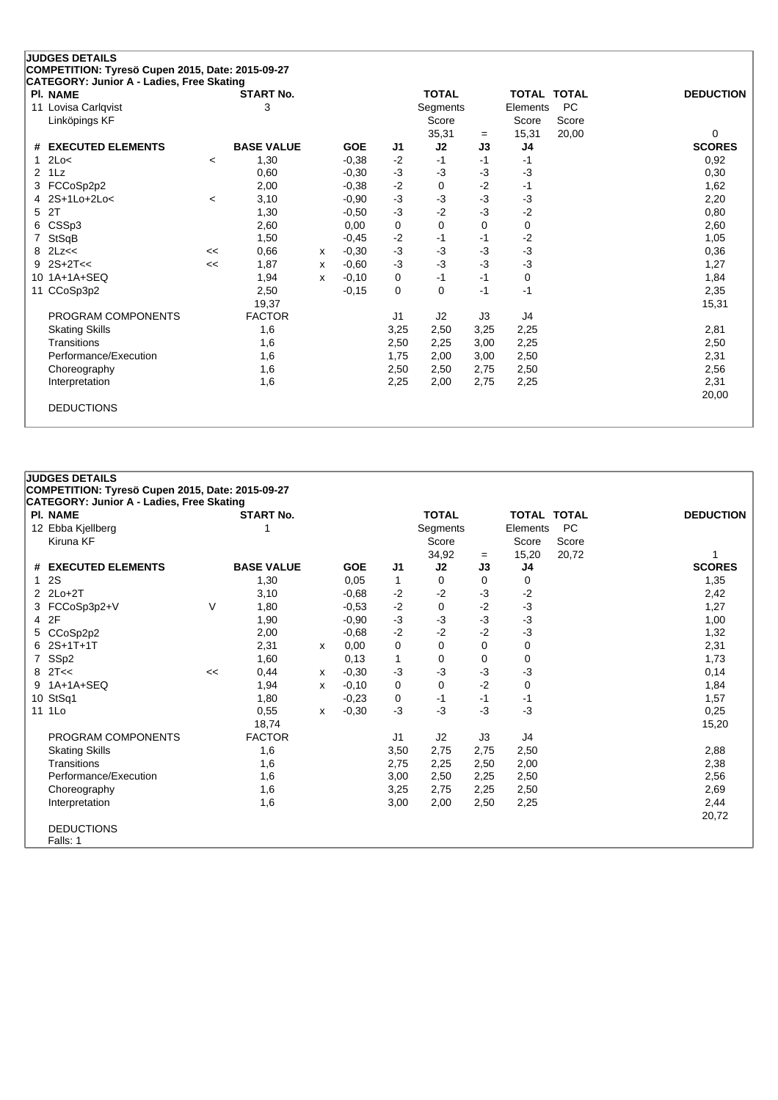| <b>JUDGES DETAILS</b><br>COMPETITION: Tyresö Cupen 2015, Date: 2015-09-27 |                          |                   |   |            |                |              |          |                    |           |                  |
|---------------------------------------------------------------------------|--------------------------|-------------------|---|------------|----------------|--------------|----------|--------------------|-----------|------------------|
| CATEGORY: Junior A - Ladies, Free Skating                                 |                          |                   |   |            |                |              |          |                    |           |                  |
| <b>PI. NAME</b>                                                           |                          | <b>START No.</b>  |   |            |                | <b>TOTAL</b> |          | <b>TOTAL TOTAL</b> |           | <b>DEDUCTION</b> |
| 11 Lovisa Carlqvist                                                       |                          | 3                 |   |            |                | Segments     |          | Elements           | <b>PC</b> |                  |
| Linköpings KF                                                             |                          |                   |   |            |                | Score        |          | Score              | Score     |                  |
|                                                                           |                          |                   |   |            |                | 35,31        | $=$      | 15,31              | 20,00     | 0                |
| # EXECUTED ELEMENTS                                                       |                          | <b>BASE VALUE</b> |   | <b>GOE</b> | J1             | J2           | J3       | J4                 |           | <b>SCORES</b>    |
| 2Lo<<br>1                                                                 | $\overline{\phantom{a}}$ | 1,30              |   | $-0,38$    | $-2$           | $-1$         | $-1$     | -1                 |           | 0,92             |
| 1Lz<br>$\overline{2}$                                                     |                          | 0,60              |   | $-0,30$    | $-3$           | $-3$         | $-3$     | $-3$               |           | 0,30             |
| FCCoSp2p2<br>3                                                            |                          | 2,00              |   | $-0,38$    | $-2$           | $\Omega$     | $-2$     | -1                 |           | 1,62             |
| 2S+1Lo+2Lo<                                                               | $\,<\,$                  | 3,10              |   | $-0,90$    | $-3$           | $-3$         | $-3$     | $-3$               |           | 2,20             |
| 2T<br>5.                                                                  |                          | 1,30              |   | $-0.50$    | $-3$           | $-2$         | $-3$     | $-2$               |           | 0,80             |
| CSSp3<br>6                                                                |                          | 2,60              |   | 0,00       | 0              | $\Omega$     | $\Omega$ | $\Omega$           |           | 2,60             |
| StSqB                                                                     |                          | 1,50              |   | $-0,45$    | $-2$           | $-1$         | $-1$     | $-2$               |           | 1,05             |
| 2Lz<<<br>8                                                                | <<                       | 0,66              | x | $-0,30$    | $-3$           | $-3$         | $-3$     | $-3$               |           | 0,36             |
| $2S+2T<<$<br>9                                                            | <<                       | 1,87              | х | $-0.60$    | $-3$           | $-3$         | $-3$     | $-3$               |           | 1,27             |
| 10 1A+1A+SEQ                                                              |                          | 1,94              | X | $-0,10$    | 0              | $-1$         | $-1$     | 0                  |           | 1,84             |
| 11 CCoSp3p2                                                               |                          | 2,50              |   | $-0,15$    | 0              | $\Omega$     | $-1$     | $-1$               |           | 2,35             |
|                                                                           |                          | 19,37             |   |            |                |              |          |                    |           | 15,31            |
| PROGRAM COMPONENTS                                                        |                          | <b>FACTOR</b>     |   |            | J <sub>1</sub> | J2           | J3       | J4                 |           |                  |
| <b>Skating Skills</b>                                                     |                          | 1,6               |   |            | 3,25           | 2,50         | 3,25     | 2,25               |           | 2,81             |
| Transitions                                                               |                          | 1,6               |   |            | 2,50           | 2,25         | 3,00     | 2,25               |           | 2,50             |
| Performance/Execution                                                     |                          | 1,6               |   |            | 1,75           | 2,00         | 3,00     | 2,50               |           | 2,31             |
| Choreography                                                              |                          | 1,6               |   |            | 2,50           | 2,50         | 2,75     | 2,50               |           | 2,56             |
| Interpretation                                                            |                          | 1,6               |   |            | 2,25           | 2,00         | 2,75     | 2,25               |           | 2,31             |
|                                                                           |                          |                   |   |            |                |              |          |                    |           | 20,00            |
| <b>DEDUCTIONS</b>                                                         |                          |                   |   |            |                |              |          |                    |           |                  |
|                                                                           |                          |                   |   |            |                |              |          |                    |           |                  |

|   | CATEGORY: Junior A - Ladies, Free Skating |    |                   |   |            |      |              |      |             |       |                  |
|---|-------------------------------------------|----|-------------------|---|------------|------|--------------|------|-------------|-------|------------------|
|   | PI. NAME                                  |    | <b>START No.</b>  |   |            |      | <b>TOTAL</b> |      | TOTAL TOTAL |       | <b>DEDUCTION</b> |
|   | 12 Ebba Kjellberg                         |    |                   |   |            |      | Segments     |      | Elements    | PC    |                  |
|   | Kiruna KF                                 |    |                   |   |            |      | Score        |      | Score       | Score |                  |
|   |                                           |    |                   |   |            |      | 34,92        | $=$  | 15,20       | 20,72 |                  |
|   | # EXECUTED ELEMENTS                       |    | <b>BASE VALUE</b> |   | <b>GOE</b> | J1   | J2           | J3   | J4          |       | <b>SCORES</b>    |
|   | 1 2S                                      |    | 1,30              |   | 0,05       | 1    | 0            | 0    | 0           |       | 1,35             |
|   | $2$ $2Lo+2T$                              |    | 3,10              |   | $-0,68$    | $-2$ | $-2$         | $-3$ | $-2$        |       | 2,42             |
|   | 3 FCCoSp3p2+V                             | V  | 1,80              |   | $-0,53$    | $-2$ | 0            | $-2$ | $-3$        |       | 1,27             |
|   | 4 2F                                      |    | 1,90              |   | $-0,90$    | $-3$ | $-3$         | $-3$ | $-3$        |       | 1,00             |
|   | 5 CCoSp2p2                                |    | 2,00              |   | $-0,68$    | $-2$ | $-2$         | $-2$ | $-3$        |       | 1,32             |
|   | $62S+1T+1T$                               |    | 2,31              | X | 0,00       | 0    | 0            | 0    | 0           |       | 2,31             |
|   | 7 SSp2                                    |    | 1,60              |   | 0,13       | 1    | 0            | 0    | 0           |       | 1,73             |
|   | $8$ 2T<<                                  | << | 0,44              | х | $-0,30$    | $-3$ | -3           | $-3$ | $-3$        |       | 0,14             |
| 9 | 1A+1A+SEQ                                 |    | 1,94              | X | $-0,10$    | 0    | 0            | $-2$ | 0           |       | 1,84             |
|   | 10 StSq1                                  |    | 1,80              |   | $-0,23$    | 0    | -1           | $-1$ | -1          |       | 1,57             |
|   | 11 1Lo                                    |    | 0,55              | x | $-0,30$    | $-3$ | $-3$         | $-3$ | $-3$        |       | 0,25             |
|   |                                           |    | 18,74             |   |            |      |              |      |             |       | 15,20            |
|   | PROGRAM COMPONENTS                        |    | <b>FACTOR</b>     |   |            | J1   | J2           | J3   | J4          |       |                  |
|   | <b>Skating Skills</b>                     |    | 1,6               |   |            | 3,50 | 2,75         | 2,75 | 2,50        |       | 2,88             |
|   | Transitions                               |    | 1,6               |   |            | 2,75 | 2,25         | 2,50 | 2,00        |       | 2,38             |
|   | Performance/Execution                     |    | 1,6               |   |            | 3,00 | 2,50         | 2,25 | 2,50        |       | 2,56             |
|   | Choreography                              |    | 1,6               |   |            | 3,25 | 2,75         | 2,25 | 2,50        |       | 2,69             |
|   | Interpretation                            |    | 1,6               |   |            | 3,00 | 2,00         | 2,50 | 2,25        |       | 2,44             |
|   |                                           |    |                   |   |            |      |              |      |             |       | 20,72            |
|   | <b>DEDUCTIONS</b>                         |    |                   |   |            |      |              |      |             |       |                  |
|   | Falls: 1                                  |    |                   |   |            |      |              |      |             |       |                  |